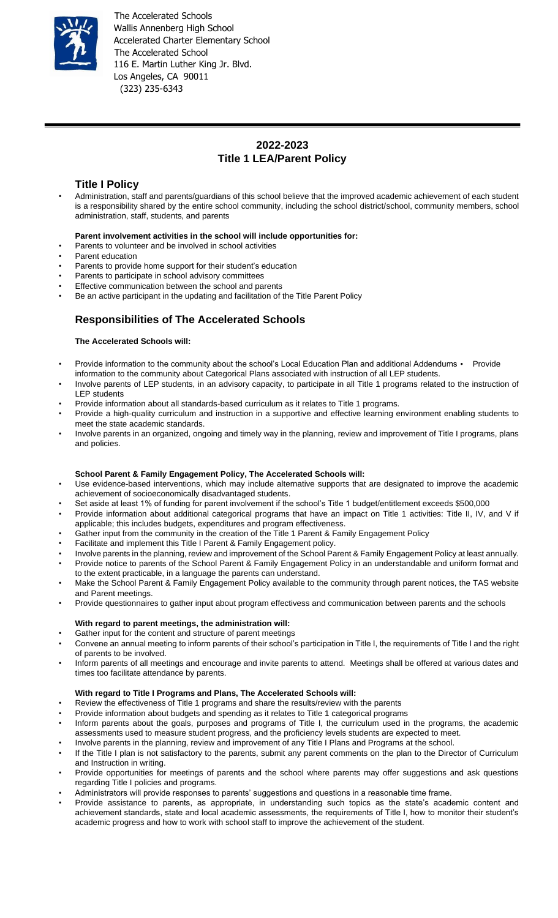

The Accelerated Schools Wallis Annenberg High School Accelerated Charter Elementary School The Accelerated School 116 E. Martin Luther King Jr. Blvd. Los Angeles, CA 90011 (323) 235-6343

# **2022-2023 Title 1 LEA/Parent Policy**

### **Title I Policy**

• Administration, staff and parents/guardians of this school believe that the improved academic achievement of each student is a responsibility shared by the entire school community, including the school district/school, community members, school administration, staff, students, and parents

#### **Parent involvement activities in the school will include opportunities for:**

- Parents to volunteer and be involved in school activities
- Parent education
- Parents to provide home support for their student's education
- Parents to participate in school advisory committees
- Effective communication between the school and parents
- Be an active participant in the updating and facilitation of the Title Parent Policy

### **Responsibilities of The Accelerated Schools**

#### **The Accelerated Schools will:**

- Provide information to the community about the school's Local Education Plan and additional Addendums Provide information to the community about Categorical Plans associated with instruction of all LEP students.
- Involve parents of LEP students, in an advisory capacity, to participate in all Title 1 programs related to the instruction of LEP students
- Provide information about all standards-based curriculum as it relates to Title 1 programs.
- Provide a high-quality curriculum and instruction in a supportive and effective learning environment enabling students to meet the state academic standards.
- Involve parents in an organized, ongoing and timely way in the planning, review and improvement of Title I programs, plans and policies.

### **School Parent & Family Engagement Policy, The Accelerated Schools will:**

- Use evidence-based interventions, which may include alternative supports that are designated to improve the academic achievement of socioeconomically disadvantaged students.
- Set aside at least 1% of funding for parent involvement if the school's Title 1 budget/entitlement exceeds \$500,000
- Provide information about additional categorical programs that have an impact on Title 1 activities: Title II, IV, and V if applicable; this includes budgets, expenditures and program effectiveness.
- Gather input from the community in the creation of the Title 1 Parent & Family Engagement Policy
- Facilitate and implement this Title I Parent & Family Engagement policy.
- Involve parents in the planning, review and improvement of the School Parent & Family Engagement Policy at least annually.
- Provide notice to parents of the School Parent & Family Engagement Policy in an understandable and uniform format and to the extent practicable, in a language the parents can understand.
- Make the School Parent & Family Engagement Policy available to the community through parent notices, the TAS website and Parent meetings.
- Provide questionnaires to gather input about program effectivess and communication between parents and the schools

#### **With regard to parent meetings, the administration will:**

- Gather input for the content and structure of parent meetings
- Convene an annual meeting to inform parents of their school's participation in Title I, the requirements of Title I and the right of parents to be involved.
- Inform parents of all meetings and encourage and invite parents to attend. Meetings shall be offered at various dates and times too facilitate attendance by parents.

#### **With regard to Title I Programs and Plans, The Accelerated Schools will:**

- Review the effectiveness of Title 1 programs and share the results/review with the parents
- Provide information about budgets and spending as it relates to Title 1 categorical programs
- Inform parents about the goals, purposes and programs of Title I, the curriculum used in the programs, the academic assessments used to measure student progress, and the proficiency levels students are expected to meet.
- Involve parents in the planning, review and improvement of any Title I Plans and Programs at the school.
- If the Title I plan is not satisfactory to the parents, submit any parent comments on the plan to the Director of Curriculum and Instruction in writing.
- Provide opportunities for meetings of parents and the school where parents may offer suggestions and ask questions regarding Title I policies and programs.
- Administrators will provide responses to parents' suggestions and questions in a reasonable time frame.
- Provide assistance to parents, as appropriate, in understanding such topics as the state's academic content and achievement standards, state and local academic assessments, the requirements of Title I, how to monitor their student's academic progress and how to work with school staff to improve the achievement of the student.